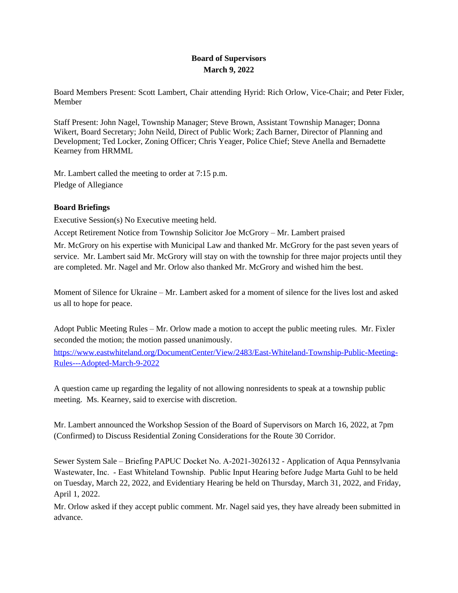# **Board of Supervisors March 9, 2022**

Board Members Present: Scott Lambert, Chair attending Hyrid: Rich Orlow, Vice-Chair; and Peter Fixler, Member

Staff Present: John Nagel, Township Manager; Steve Brown, Assistant Township Manager; Donna Wikert, Board Secretary; John Neild, Direct of Public Work; Zach Barner, Director of Planning and Development; Ted Locker, Zoning Officer; Chris Yeager, Police Chief; Steve Anella and Bernadette Kearney from HRMML

Mr. Lambert called the meeting to order at 7:15 p.m. Pledge of Allegiance

## **Board Briefings**

Executive Session(s) No Executive meeting held.

Accept Retirement Notice from Township Solicitor Joe McGrory – Mr. Lambert praised

Mr. McGrory on his expertise with Municipal Law and thanked Mr. McGrory for the past seven years of service. Mr. Lambert said Mr. McGrory will stay on with the township for three major projects until they are completed. Mr. Nagel and Mr. Orlow also thanked Mr. McGrory and wished him the best.

Moment of Silence for Ukraine – Mr. Lambert asked for a moment of silence for the lives lost and asked us all to hope for peace.

Adopt Public Meeting Rules – Mr. Orlow made a motion to accept the public meeting rules. Mr. Fixler seconded the motion; the motion passed unanimously.

[https://www.eastwhiteland.org/DocumentCenter/View/2483/East-Whiteland-Township-Public-Meeting-](https://www.eastwhiteland.org/DocumentCenter/View/2483/East-Whiteland-Township-Public-Meeting-Rules---Adopted-March-9-2022)Rules---Adopted-March-9-2022

A question came up regarding the legality of not allowing nonresidents to speak at a township public meeting. Ms. Kearney, said to exercise with discretion.

Mr. Lambert announced the Workshop Session of the Board of Supervisors on March 16, 2022, at 7pm (Confirmed) to Discuss Residential Zoning Considerations for the Route 30 Corridor.

Sewer System Sale – Briefing PAPUC Docket No. A-2021-3026132 - Application of Aqua Pennsylvania Wastewater, Inc. - East Whiteland Township. Public Input Hearing before Judge Marta Guhl to be held on Tuesday, March 22, 2022, and Evidentiary Hearing be held on Thursday, March 31, 2022, and Friday, April 1, 2022.

Mr. Orlow asked if they accept public comment. Mr. Nagel said yes, they have already been submitted in advance.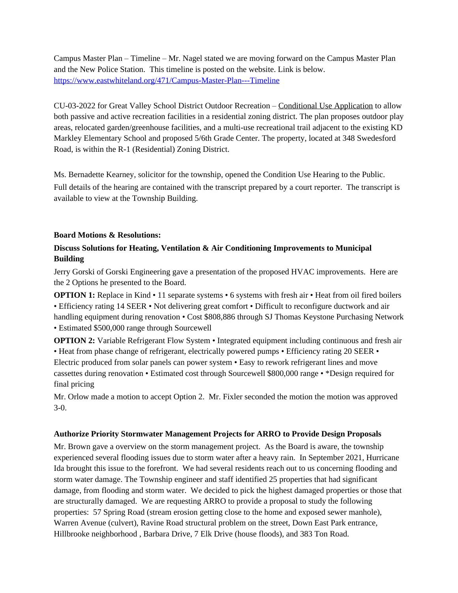Campus Master Plan – Timeline – Mr. Nagel stated we are moving forward on the Campus Master Plan and the New Police Station. This timeline is posted on the website. Link is below. <https://www.eastwhiteland.org/471/Campus-Master-Plan---Timeline>

CU-03-2022 for Great Valley School District Outdoor Recreation – [Conditional Use Application](https://www.eastwhiteland.org/DocumentCenter/Index/315) to allow both passive and active recreation facilities in a residential zoning district. The plan proposes outdoor play areas, relocated garden/greenhouse facilities, and a multi-use recreational trail adjacent to the existing KD Markley Elementary School and proposed 5/6th Grade Center. The property, located at 348 Swedesford Road, is within the R-1 (Residential) Zoning District.

Ms. Bernadette Kearney, solicitor for the township, opened the Condition Use Hearing to the Public. Full details of the hearing are contained with the transcript prepared by a court reporter. The transcript is available to view at the Township Building.

#### **Board Motions & Resolutions:**

# **Discuss Solutions for Heating, Ventilation & Air Conditioning Improvements to Municipal Building**

Jerry Gorski of Gorski Engineering gave a presentation of the proposed HVAC improvements. Here are the 2 Options he presented to the Board.

**OPTION 1:** Replace in Kind • 11 separate systems • 6 systems with fresh air • Heat from oil fired boilers • Efficiency rating 14 SEER • Not delivering great comfort • Difficult to reconfigure ductwork and air handling equipment during renovation • Cost \$808,886 through SJ Thomas Keystone Purchasing Network

• Estimated \$500,000 range through Sourcewell

**OPTION 2:** Variable Refrigerant Flow System • Integrated equipment including continuous and fresh air • Heat from phase change of refrigerant, electrically powered pumps • Efficiency rating 20 SEER •

Electric produced from solar panels can power system • Easy to rework refrigerant lines and move cassettes during renovation • Estimated cost through Sourcewell \$800,000 range • \*Design required for final pricing

Mr. Orlow made a motion to accept Option 2. Mr. Fixler seconded the motion the motion was approved 3-0.

## **Authorize Priority Stormwater Management Projects for ARRO to Provide Design Proposals**

Mr. Brown gave a overview on the storm management project. As the Board is aware, the township experienced several flooding issues due to storm water after a heavy rain. In September 2021, Hurricane Ida brought this issue to the forefront. We had several residents reach out to us concerning flooding and storm water damage. The Township engineer and staff identified 25 properties that had significant damage, from flooding and storm water. We decided to pick the highest damaged properties or those that are structurally damaged. We are requesting ARRO to provide a proposal to study the following properties: 57 Spring Road (stream erosion getting close to the home and exposed sewer manhole), Warren Avenue (culvert), Ravine Road structural problem on the street, Down East Park entrance, Hillbrooke neighborhood , Barbara Drive, 7 Elk Drive (house floods), and 383 Ton Road.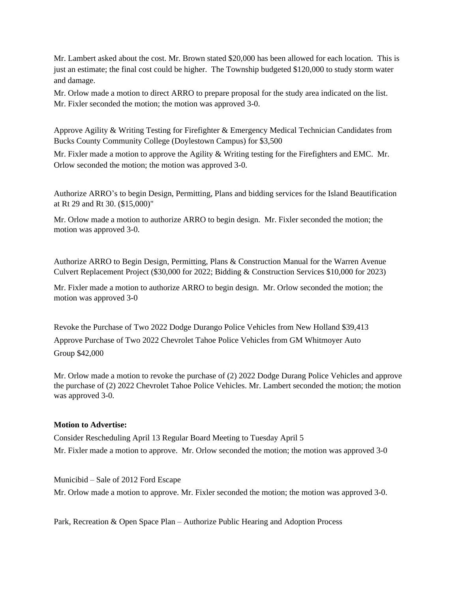Mr. Lambert asked about the cost. Mr. Brown stated \$20,000 has been allowed for each location. This is just an estimate; the final cost could be higher. The Township budgeted \$120,000 to study storm water and damage.

Mr. Orlow made a motion to direct ARRO to prepare proposal for the study area indicated on the list. Mr. Fixler seconded the motion; the motion was approved 3-0.

Approve Agility & Writing Testing for Firefighter & Emergency Medical Technician Candidates from Bucks County Community College (Doylestown Campus) for \$3,500

Mr. Fixler made a motion to approve the Agility & Writing testing for the Firefighters and EMC. Mr. Orlow seconded the motion; the motion was approved 3-0.

Authorize ARRO's to begin Design, Permitting, Plans and bidding services for the Island Beautification at Rt 29 and Rt 30. (\$15,000)"

Mr. Orlow made a motion to authorize ARRO to begin design. Mr. Fixler seconded the motion; the motion was approved 3-0.

Authorize ARRO to Begin Design, Permitting, Plans & Construction Manual for the Warren Avenue Culvert Replacement Project (\$30,000 for 2022; Bidding & Construction Services \$10,000 for 2023)

Mr. Fixler made a motion to authorize ARRO to begin design. Mr. Orlow seconded the motion; the motion was approved 3-0

Revoke the Purchase of Two 2022 Dodge Durango Police Vehicles from New Holland \$39,413 Approve Purchase of Two 2022 Chevrolet Tahoe Police Vehicles from GM Whitmoyer Auto Group \$42,000

Mr. Orlow made a motion to revoke the purchase of (2) 2022 Dodge Durang Police Vehicles and approve the purchase of (2) 2022 Chevrolet Tahoe Police Vehicles. Mr. Lambert seconded the motion; the motion was approved 3-0.

#### **Motion to Advertise:**

Consider Rescheduling April 13 Regular Board Meeting to Tuesday April 5 Mr. Fixler made a motion to approve. Mr. Orlow seconded the motion; the motion was approved 3-0

Municibid – Sale of 2012 Ford Escape Mr. Orlow made a motion to approve. Mr. Fixler seconded the motion; the motion was approved 3-0.

Park, Recreation & Open Space Plan – Authorize Public Hearing and Adoption Process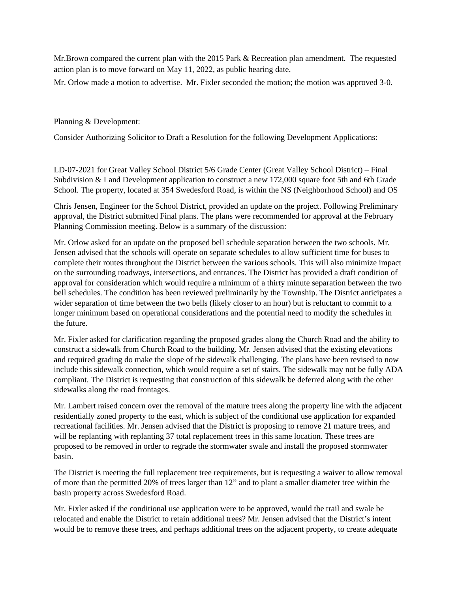Mr.Brown compared the current plan with the 2015 Park & Recreation plan amendment. The requested action plan is to move forward on May 11, 2022, as public hearing date.

Mr. Orlow made a motion to advertise. Mr. Fixler seconded the motion; the motion was approved 3-0.

Planning & Development:

Consider Authorizing Solicitor to Draft a Resolution for the following [Development Applications:](https://www.eastwhiteland.org/305/Land-Developments)

LD-07-2021 for Great Valley School District 5/6 Grade Center (Great Valley School District) – Final Subdivision & Land Development application to construct a new 172,000 square foot 5th and 6th Grade School. The property, located at 354 Swedesford Road, is within the NS (Neighborhood School) and OS

Chris Jensen, Engineer for the School District, provided an update on the project. Following Preliminary approval, the District submitted Final plans. The plans were recommended for approval at the February Planning Commission meeting. Below is a summary of the discussion:

Mr. Orlow asked for an update on the proposed bell schedule separation between the two schools. Mr. Jensen advised that the schools will operate on separate schedules to allow sufficient time for buses to complete their routes throughout the District between the various schools. This will also minimize impact on the surrounding roadways, intersections, and entrances. The District has provided a draft condition of approval for consideration which would require a minimum of a thirty minute separation between the two bell schedules. The condition has been reviewed preliminarily by the Township. The District anticipates a wider separation of time between the two bells (likely closer to an hour) but is reluctant to commit to a longer minimum based on operational considerations and the potential need to modify the schedules in the future.

Mr. Fixler asked for clarification regarding the proposed grades along the Church Road and the ability to construct a sidewalk from Church Road to the building. Mr. Jensen advised that the existing elevations and required grading do make the slope of the sidewalk challenging. The plans have been revised to now include this sidewalk connection, which would require a set of stairs. The sidewalk may not be fully ADA compliant. The District is requesting that construction of this sidewalk be deferred along with the other sidewalks along the road frontages.

Mr. Lambert raised concern over the removal of the mature trees along the property line with the adjacent residentially zoned property to the east, which is subject of the conditional use application for expanded recreational facilities. Mr. Jensen advised that the District is proposing to remove 21 mature trees, and will be replanting with replanting 37 total replacement trees in this same location. These trees are proposed to be removed in order to regrade the stormwater swale and install the proposed stormwater basin.

The District is meeting the full replacement tree requirements, but is requesting a waiver to allow removal of more than the permitted 20% of trees larger than 12" and to plant a smaller diameter tree within the basin property across Swedesford Road.

Mr. Fixler asked if the conditional use application were to be approved, would the trail and swale be relocated and enable the District to retain additional trees? Mr. Jensen advised that the District's intent would be to remove these trees, and perhaps additional trees on the adjacent property, to create adequate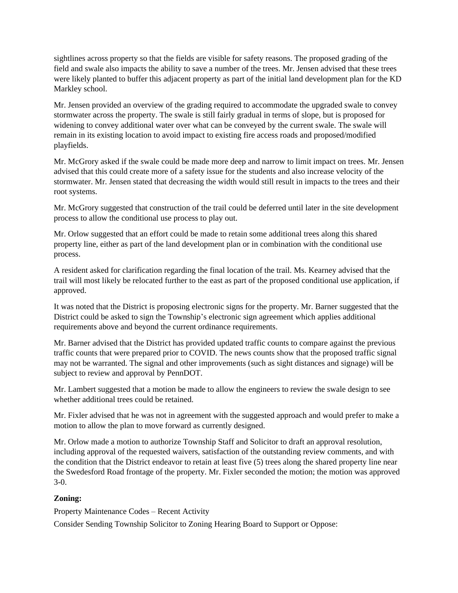sightlines across property so that the fields are visible for safety reasons. The proposed grading of the field and swale also impacts the ability to save a number of the trees. Mr. Jensen advised that these trees were likely planted to buffer this adjacent property as part of the initial land development plan for the KD Markley school.

Mr. Jensen provided an overview of the grading required to accommodate the upgraded swale to convey stormwater across the property. The swale is still fairly gradual in terms of slope, but is proposed for widening to convey additional water over what can be conveyed by the current swale. The swale will remain in its existing location to avoid impact to existing fire access roads and proposed/modified playfields.

Mr. McGrory asked if the swale could be made more deep and narrow to limit impact on trees. Mr. Jensen advised that this could create more of a safety issue for the students and also increase velocity of the stormwater. Mr. Jensen stated that decreasing the width would still result in impacts to the trees and their root systems.

Mr. McGrory suggested that construction of the trail could be deferred until later in the site development process to allow the conditional use process to play out.

Mr. Orlow suggested that an effort could be made to retain some additional trees along this shared property line, either as part of the land development plan or in combination with the conditional use process.

A resident asked for clarification regarding the final location of the trail. Ms. Kearney advised that the trail will most likely be relocated further to the east as part of the proposed conditional use application, if approved.

It was noted that the District is proposing electronic signs for the property. Mr. Barner suggested that the District could be asked to sign the Township's electronic sign agreement which applies additional requirements above and beyond the current ordinance requirements.

Mr. Barner advised that the District has provided updated traffic counts to compare against the previous traffic counts that were prepared prior to COVID. The news counts show that the proposed traffic signal may not be warranted. The signal and other improvements (such as sight distances and signage) will be subject to review and approval by PennDOT.

Mr. Lambert suggested that a motion be made to allow the engineers to review the swale design to see whether additional trees could be retained.

Mr. Fixler advised that he was not in agreement with the suggested approach and would prefer to make a motion to allow the plan to move forward as currently designed.

Mr. Orlow made a motion to authorize Township Staff and Solicitor to draft an approval resolution, including approval of the requested waivers, satisfaction of the outstanding review comments, and with the condition that the District endeavor to retain at least five (5) trees along the shared property line near the Swedesford Road frontage of the property. Mr. Fixler seconded the motion; the motion was approved 3-0.

## **Zoning:**

Property Maintenance Codes – Recent Activity

Consider Sending Township Solicitor to Zoning Hearing Board to Support or Oppose: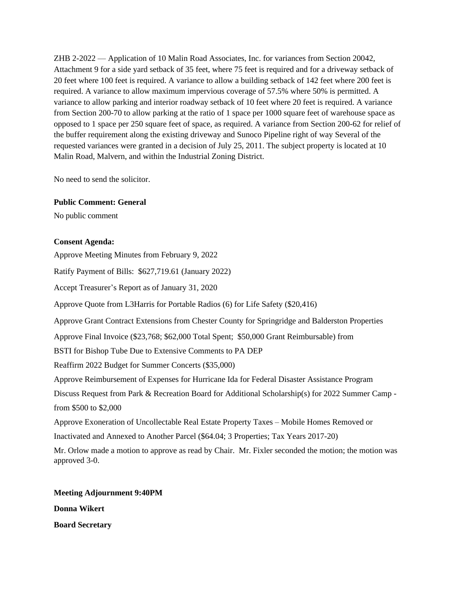ZHB 2-2022 — Application of 10 Malin Road Associates, Inc. for variances from Section 20042, Attachment 9 for a side yard setback of 35 feet, where 75 feet is required and for a driveway setback of 20 feet where 100 feet is required. A variance to allow a building setback of 142 feet where 200 feet is required. A variance to allow maximum impervious coverage of 57.5% where 50% is permitted. A variance to allow parking and interior roadway setback of 10 feet where 20 feet is required. A variance from Section 200-70 to allow parking at the ratio of 1 space per 1000 square feet of warehouse space as opposed to 1 space per 250 square feet of space, as required. A variance from Section 200-62 for relief of the buffer requirement along the existing driveway and Sunoco Pipeline right of way Several of the requested variances were granted in a decision of July 25, 2011. The subject property is located at 10 Malin Road, Malvern, and within the Industrial Zoning District.

No need to send the solicitor.

#### **Public Comment: General**

No public comment

#### **Consent Agenda:**

Approve Meeting Minutes from February 9, 2022

Ratify Payment of Bills: \$627,719.61 (January 2022)

Accept Treasurer's Report as of January 31, 2020

Approve Quote from L3Harris for Portable Radios (6) for Life Safety (\$20,416)

Approve Grant Contract Extensions from Chester County for Springridge and Balderston Properties

Approve Final Invoice (\$23,768; \$62,000 Total Spent; \$50,000 Grant Reimbursable) from

BSTI for Bishop Tube Due to Extensive Comments to PA DEP

Reaffirm 2022 Budget for Summer Concerts (\$35,000)

Approve Reimbursement of Expenses for Hurricane Ida for Federal Disaster Assistance Program

Discuss Request from Park & Recreation Board for Additional Scholarship(s) for 2022 Summer Camp from \$500 to \$2,000

Approve Exoneration of Uncollectable Real Estate Property Taxes – Mobile Homes Removed or

Inactivated and Annexed to Another Parcel (\$64.04; 3 Properties; Tax Years 2017-20)

Mr. Orlow made a motion to approve as read by Chair. Mr. Fixler seconded the motion; the motion was approved 3-0.

**Meeting Adjournment 9:40PM Donna Wikert Board Secretary**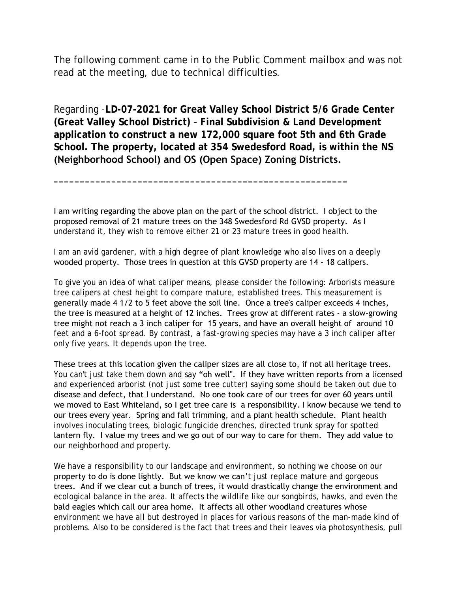The following comment came in to the Public Comment mailbox and was not read at the meeting, due to technical difficulties.

Regarding -**LD-07-2021 for Great Valley School District 5/6 Grade Center (Great Valley School District) – Final Subdivision & Land Development application to construct a new 172,000 square foot 5th and 6th Grade School. The property, located at 354 Swedesford Road, is within the NS (Neighborhood School) and OS (Open Space) Zoning Districts.** 

I am writing regarding the above plan on the part of the school district. I object to the proposed removal of 21 mature trees on the 348 Swedesford Rd GVSD property. As I understand it, they wish to remove either 21 or 23 mature trees in good health.

**\_\_\_\_\_\_\_\_\_\_\_\_\_\_\_\_\_\_\_\_\_\_\_\_\_\_\_\_\_\_\_\_\_\_\_\_\_\_\_\_\_\_\_\_\_\_\_\_\_\_\_\_\_\_\_\_**

I am an avid gardener, with a high degree of plant knowledge who also lives on a deeply wooded property. Those trees in question at this GVSD property are 14 - 18 calipers.

To give you an idea of what caliper means, please consider the following: Arborists measure tree calipers at chest height to compare mature, established trees. This measurement is generally made 4 1/2 to 5 feet above the soil line. Once a tree's caliper exceeds 4 inches, the tree is measured at a height of 12 inches. Trees grow at different rates - a slow-growing tree might not reach a 3 inch caliper for 15 years, and have an overall height of around 10 feet and a 6-foot spread. By contrast, a fast-growing species may have a 3 inch caliper after only five years. It depends upon the tree.

These trees at this location given the caliper sizes are all close to, if not all heritage trees. You can't just take them down and say "oh well". If they have written reports from a licensed and experienced arborist (not just some tree cutter) saying some should be taken out due to disease and defect, that I understand. No one took care of our trees for over 60 years until we moved to East Whiteland, so I get tree care is a responsibility. I know because we tend to our trees every year. Spring and fall trimming, and a plant health schedule. Plant health involves inoculating trees, biologic fungicide drenches, directed trunk spray for spotted lantern fly. I value my trees and we go out of our way to care for them. They add value to our neighborhood and property.

We have a responsibility to our landscape and environment, so nothing we choose on our property to do is done lightly. But we know we can't just replace mature and gorgeous trees. And if we clear cut a bunch of trees, it would drastically change the environment and ecological balance in the area. It affects the wildlife like our songbirds, hawks, and even the bald eagles which call our area home. It affects all other woodland creatures whose environment we have all but destroyed in places for various reasons of the man-made kind of problems. Also to be considered is the fact that trees and their leaves via photosynthesis, pull